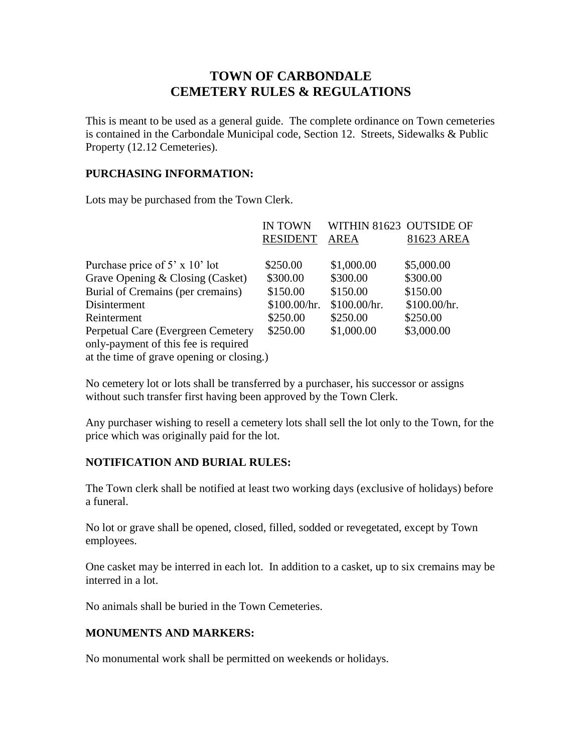# **TOWN OF CARBONDALE CEMETERY RULES & REGULATIONS**

This is meant to be used as a general guide. The complete ordinance on Town cemeteries is contained in the Carbondale Municipal code, Section 12. Streets, Sidewalks & Public Property (12.12 Cemeteries).

### **PURCHASING INFORMATION:**

Lots may be purchased from the Town Clerk.

|                                           | <b>IN TOWN</b>  | WITHIN 81623 OUTSIDE OF |              |
|-------------------------------------------|-----------------|-------------------------|--------------|
|                                           | <b>RESIDENT</b> | <b>AREA</b>             | 81623 AREA   |
|                                           |                 |                         |              |
| Purchase price of 5' x 10' lot            | \$250.00        | \$1,000.00              | \$5,000.00   |
| Grave Opening & Closing (Casket)          | \$300.00        | \$300.00                | \$300.00     |
| Burial of Cremains (per cremains)         | \$150.00        | \$150.00                | \$150.00     |
| Disinterment                              | \$100.00/hr.    | \$100.00/hr.            | \$100.00/hr. |
| Reinterment                               | \$250.00        | \$250.00                | \$250.00     |
| Perpetual Care (Evergreen Cemetery        | \$250.00        | \$1,000.00              | \$3,000.00   |
| only-payment of this fee is required      |                 |                         |              |
| at the time of grave opening or closing.) |                 |                         |              |
|                                           |                 |                         |              |

No cemetery lot or lots shall be transferred by a purchaser, his successor or assigns without such transfer first having been approved by the Town Clerk.

Any purchaser wishing to resell a cemetery lots shall sell the lot only to the Town, for the price which was originally paid for the lot.

# **NOTIFICATION AND BURIAL RULES:**

The Town clerk shall be notified at least two working days (exclusive of holidays) before a funeral.

No lot or grave shall be opened, closed, filled, sodded or revegetated, except by Town employees.

One casket may be interred in each lot. In addition to a casket, up to six cremains may be interred in a lot.

No animals shall be buried in the Town Cemeteries.

# **MONUMENTS AND MARKERS:**

No monumental work shall be permitted on weekends or holidays.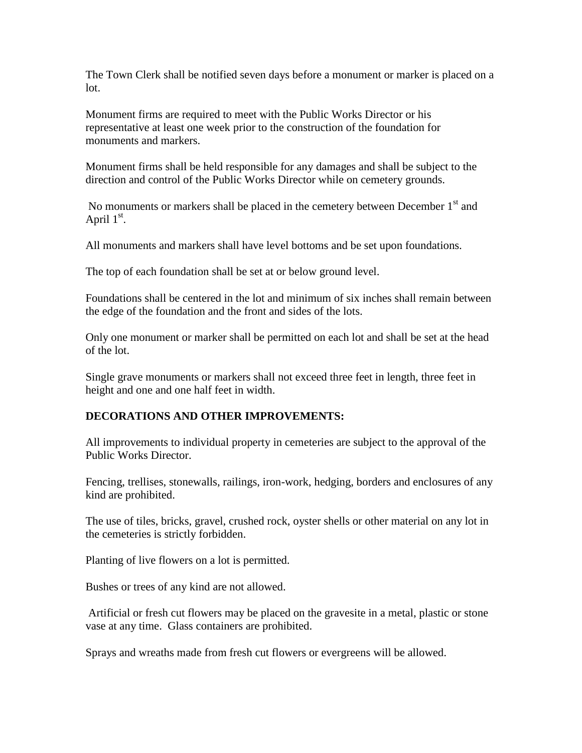The Town Clerk shall be notified seven days before a monument or marker is placed on a lot.

Monument firms are required to meet with the Public Works Director or his representative at least one week prior to the construction of the foundation for monuments and markers.

Monument firms shall be held responsible for any damages and shall be subject to the direction and control of the Public Works Director while on cemetery grounds.

No monuments or markers shall be placed in the cemetery between December 1<sup>st</sup> and April  $1<sup>st</sup>$ .

All monuments and markers shall have level bottoms and be set upon foundations.

The top of each foundation shall be set at or below ground level.

Foundations shall be centered in the lot and minimum of six inches shall remain between the edge of the foundation and the front and sides of the lots.

Only one monument or marker shall be permitted on each lot and shall be set at the head of the lot.

Single grave monuments or markers shall not exceed three feet in length, three feet in height and one and one half feet in width.

# **DECORATIONS AND OTHER IMPROVEMENTS:**

All improvements to individual property in cemeteries are subject to the approval of the Public Works Director.

Fencing, trellises, stonewalls, railings, iron-work, hedging, borders and enclosures of any kind are prohibited.

The use of tiles, bricks, gravel, crushed rock, oyster shells or other material on any lot in the cemeteries is strictly forbidden.

Planting of live flowers on a lot is permitted.

Bushes or trees of any kind are not allowed.

Artificial or fresh cut flowers may be placed on the gravesite in a metal, plastic or stone vase at any time. Glass containers are prohibited.

Sprays and wreaths made from fresh cut flowers or evergreens will be allowed.